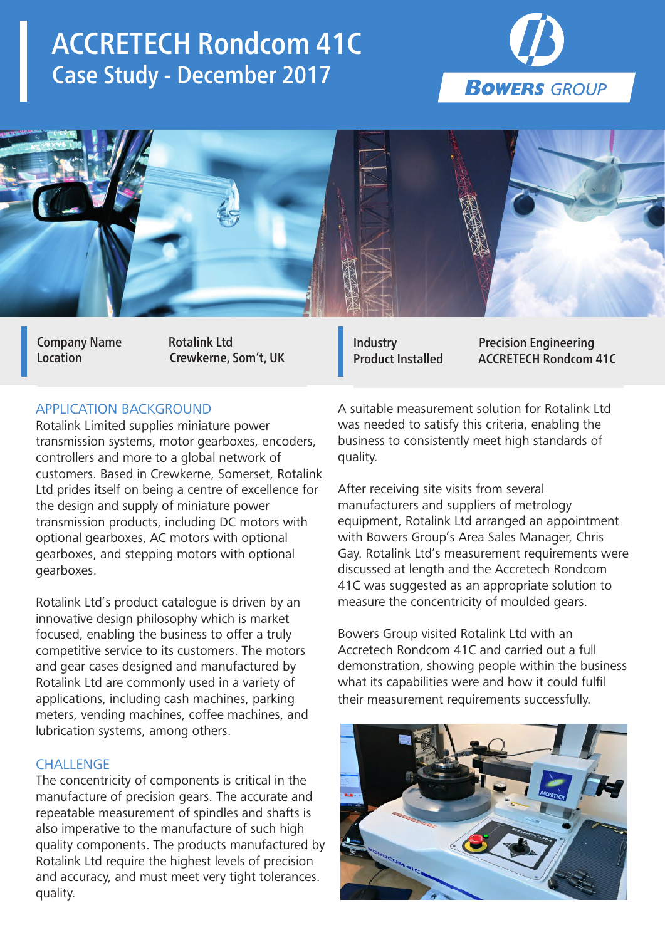# ACCRETECH Rondcom 41C Case Study - December 2017





Company Name Rotalink Ltd

Location Crewkerne, Som't, UK

## APPLICATION BACKGROUND

Rotalink Limited supplies miniature power transmission systems, motor gearboxes, encoders, controllers and more to a global network of customers. Based in Crewkerne, Somerset, Rotalink Ltd prides itself on being a centre of excellence for the design and supply of miniature power transmission products, including DC motors with optional gearboxes, AC motors with optional gearboxes, and stepping motors with optional gearboxes.

Rotalink Ltd's product catalogue is driven by an innovative design philosophy which is market focused, enabling the business to offer a truly competitive service to its customers. The motors and gear cases designed and manufactured by Rotalink Ltd are commonly used in a variety of applications, including cash machines, parking meters, vending machines, coffee machines, and lubrication systems, among others.

## **CHALLENGE**

The concentricity of components is critical in the manufacture of precision gears. The accurate and repeatable measurement of spindles and shafts is also imperative to the manufacture of such high quality components. The products manufactured by Rotalink Ltd require the highest levels of precision and accuracy, and must meet very tight tolerances. quality.

Industry Precision Engineering Product Installed ACCRETECH Rondcom 41C

A suitable measurement solution for Rotalink Ltd was needed to satisfy this criteria, enabling the business to consistently meet high standards of quality.

After receiving site visits from several manufacturers and suppliers of metrology equipment, Rotalink Ltd arranged an appointment with Bowers Group's Area Sales Manager, Chris Gay. Rotalink Ltd's measurement requirements were discussed at length and the Accretech Rondcom 41C was suggested as an appropriate solution to measure the concentricity of moulded gears.

Bowers Group visited Rotalink Ltd with an Accretech Rondcom 41C and carried out a full demonstration, showing people within the business what its capabilities were and how it could fulfil their measurement requirements successfully.